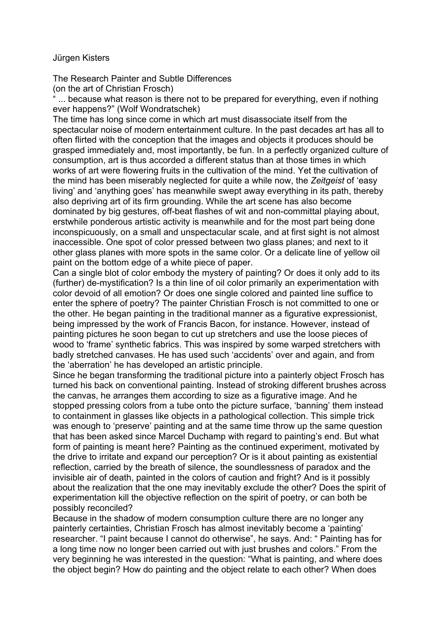## Jürgen Kisters

The Research Painter and Subtle Differences (on the art of Christian Frosch)

... because what reason is there not to be prepared for everything, even if nothing ever happens?" (Wolf Wondratschek)

The time has long since come in which art must disassociate itself from the spectacular noise of modern entertainment culture. In the past decades art has all to often flirted with the conception that the images and objects it produces should be grasped immediately and, most importantly, be fun. In a perfectly organized culture of consumption, art is thus accorded a different status than at those times in which works of art were flowering fruits in the cultivation of the mind. Yet the cultivation of the mind has been miserably neglected for quite a while now, the *Zeitgeist* of 'easy living' and 'anything goes' has meanwhile swept away everything in its path, thereby also depriving art of its firm grounding. While the art scene has also become dominated by big gestures, off-beat flashes of wit and non-committal playing about, erstwhile ponderous artistic activity is meanwhile and for the most part being done inconspicuously, on a small and unspectacular scale, and at first sight is not almost inaccessible. One spot of color pressed between two glass planes; and next to it other glass planes with more spots in the same color. Or a delicate line of yellow oil paint on the bottom edge of a white piece of paper.

Can a single blot of color embody the mystery of painting? Or does it only add to its (further) de-mystification? Is a thin line of oil color primarily an experimentation with color devoid of all emotion? Or does one single colored and painted line suffice to enter the sphere of poetry? The painter Christian Frosch is not committed to one or the other. He began painting in the traditional manner as a figurative expressionist, being impressed by the work of Francis Bacon, for instance. However, instead of painting pictures he soon began to cut up stretchers and use the loose pieces of wood to 'frame' synthetic fabrics. This was inspired by some warped stretchers with badly stretched canvases. He has used such 'accidents' over and again, and from the 'aberration' he has developed an artistic principle.

Since he began transforming the traditional picture into a painterly object Frosch has turned his back on conventional painting. Instead of stroking different brushes across the canvas, he arranges them according to size as a figurative image. And he stopped pressing colors from a tube onto the picture surface, 'banning' them instead to containment in glasses like objects in a pathological collection. This simple trick was enough to 'preserve' painting and at the same time throw up the same question that has been asked since Marcel Duchamp with regard to painting's end. But what form of painting is meant here? Painting as the continued experiment, motivated by the drive to irritate and expand our perception? Or is it about painting as existential reflection, carried by the breath of silence, the soundlessness of paradox and the invisible air of death, painted in the colors of caution and fright? And is it possibly about the realization that the one may inevitably exclude the other? Does the spirit of experimentation kill the objective reflection on the spirit of poetry, or can both be possibly reconciled?

Because in the shadow of modern consumption culture there are no longer any painterly certainties, Christian Frosch has almost inevitably become a 'painting' researcher. "I paint because I cannot do otherwise", he says. And: " Painting has for a long time now no longer been carried out with just brushes and colors." From the very beginning he was interested in the question: "What is painting, and where does the object begin? How do painting and the object relate to each other? When does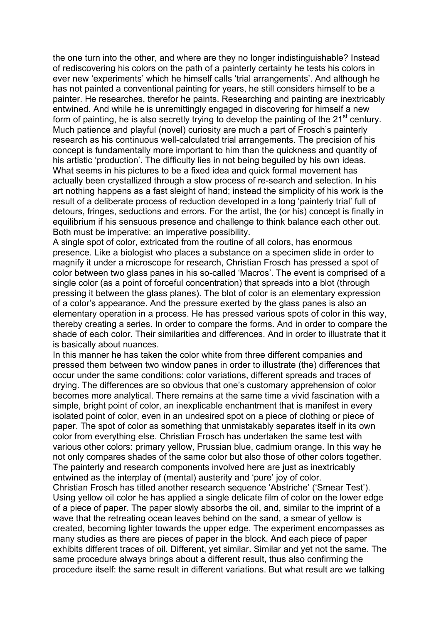the one turn into the other, and where are they no longer indistinguishable? Instead of rediscovering his colors on the path of a painterly certainty he tests his colors in ever new 'experiments' which he himself calls 'trial arrangements'. And although he has not painted a conventional painting for years, he still considers himself to be a painter. He researches, therefor he paints. Researching and painting are inextricably entwined. And while he is unremittingly engaged in discovering for himself a new form of painting, he is also secretly trying to develop the painting of the  $21<sup>st</sup>$  century. Much patience and playful (novel) curiosity are much a part of Frosch's painterly research as his continuous well-calculated trial arrangements. The precision of his concept is fundamentally more important to him than the quickness and quantity of his artistic 'production'. The difficulty lies in not being beguiled by his own ideas. What seems in his pictures to be a fixed idea and quick formal movement has actually been crystallized through a slow process of re-search and selection. In his art nothing happens as a fast sleight of hand; instead the simplicity of his work is the result of a deliberate process of reduction developed in a long 'painterly trial' full of detours, fringes, seductions and errors. For the artist, the (or his) concept is finally in equilibrium if his sensuous presence and challenge to think balance each other out. Both must be imperative: an imperative possibility.

A single spot of color, extricated from the routine of all colors, has enormous presence. Like a biologist who places a substance on a specimen slide in order to magnify it under a microscope for research, Christian Frosch has pressed a spot of color between two glass panes in his so-called 'Macros'. The event is comprised of a single color (as a point of forceful concentration) that spreads into a blot (through pressing it between the glass planes). The blot of color is an elementary expression of a color's appearance. And the pressure exerted by the glass panes is also an elementary operation in a process. He has pressed various spots of color in this way, thereby creating a series. In order to compare the forms. And in order to compare the shade of each color. Their similarities and differences. And in order to illustrate that it is basically about nuances.

In this manner he has taken the color white from three different companies and pressed them between two window panes in order to illustrate (the) differences that occur under the same conditions: color variations, different spreads and traces of drying. The differences are so obvious that one's customary apprehension of color becomes more analytical. There remains at the same time a vivid fascination with a simple, bright point of color, an inexplicable enchantment that is manifest in every isolated point of color, even in an undesired spot on a piece of clothing or piece of paper. The spot of color as something that unmistakably separates itself in its own color from everything else. Christian Frosch has undertaken the same test with various other colors: primary yellow, Prussian blue, cadmium orange. In this way he not only compares shades of the same color but also those of other colors together. The painterly and research components involved here are just as inextricably entwined as the interplay of (mental) austerity and 'pure' joy of color.

Christian Frosch has titled another research sequence 'Abstriche' ('Smear Test'). Using yellow oil color he has applied a single delicate film of color on the lower edge of a piece of paper. The paper slowly absorbs the oil, and, similar to the imprint of a wave that the retreating ocean leaves behind on the sand, a smear of yellow is created, becoming lighter towards the upper edge. The experiment encompasses as many studies as there are pieces of paper in the block. And each piece of paper exhibits different traces of oil. Different, yet similar. Similar and yet not the same. The same procedure always brings about a different result, thus also confirming the procedure itself: the same result in different variations. But what result are we talking